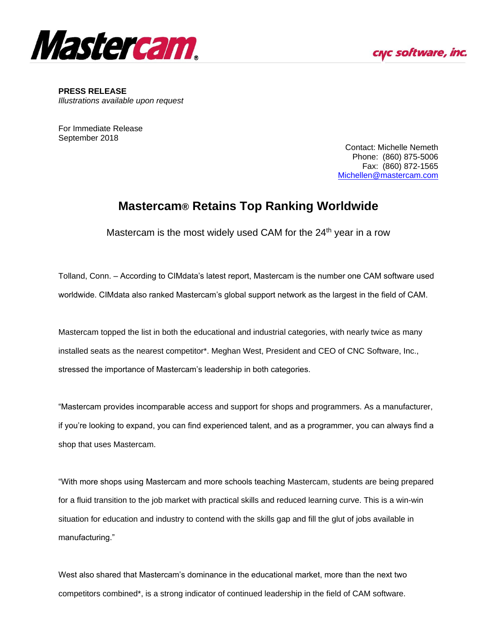



**PRESS RELEASE** *Illustrations available upon request*

For Immediate Release September 2018

> Contact: Michelle Nemeth Phone: (860) 875-5006 Fax: (860) 872-1565 [Michellen@mastercam.com](mailto:Michellen@mastercam.com)

## **Mastercam® Retains Top Ranking Worldwide**

Mastercam is the most widely used CAM for the  $24<sup>th</sup>$  year in a row

Tolland, Conn. – According to CIMdata's latest report, Mastercam is the number one CAM software used worldwide. CIMdata also ranked Mastercam's global support network as the largest in the field of CAM.

Mastercam topped the list in both the educational and industrial categories, with nearly twice as many installed seats as the nearest competitor\*. Meghan West, President and CEO of CNC Software, Inc., stressed the importance of Mastercam's leadership in both categories.

"Mastercam provides incomparable access and support for shops and programmers. As a manufacturer, if you're looking to expand, you can find experienced talent, and as a programmer, you can always find a shop that uses Mastercam.

"With more shops using Mastercam and more schools teaching Mastercam, students are being prepared for a fluid transition to the job market with practical skills and reduced learning curve. This is a win-win situation for education and industry to contend with the skills gap and fill the glut of jobs available in manufacturing."

West also shared that Mastercam's dominance in the educational market, more than the next two competitors combined\*, is a strong indicator of continued leadership in the field of CAM software.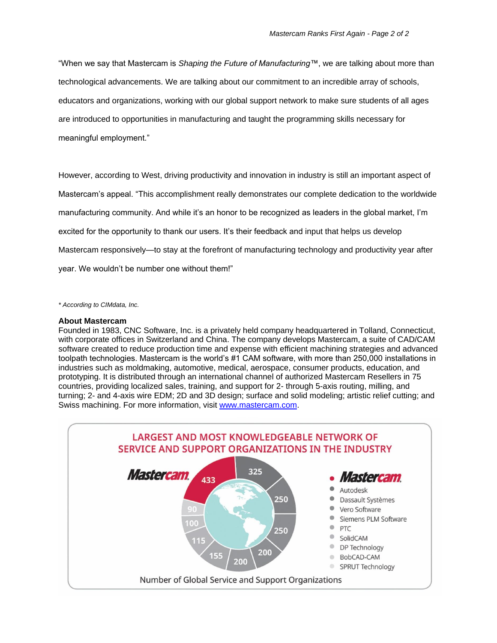"When we say that Mastercam is *Shaping the Future of Manufacturing™*, we are talking about more than technological advancements. We are talking about our commitment to an incredible array of schools, educators and organizations, working with our global support network to make sure students of all ages are introduced to opportunities in manufacturing and taught the programming skills necessary for meaningful employment."

However, according to West, driving productivity and innovation in industry is still an important aspect of Mastercam's appeal. "This accomplishment really demonstrates our complete dedication to the worldwide manufacturing community. And while it's an honor to be recognized as leaders in the global market, I'm excited for the opportunity to thank our users. It's their feedback and input that helps us develop Mastercam responsively—to stay at the forefront of manufacturing technology and productivity year after year. We wouldn't be number one without them!"

*\* According to CIMdata, Inc.*

## **About Mastercam**

Founded in 1983, CNC Software, Inc. is a privately held company headquartered in Tolland, Connecticut, with corporate offices in Switzerland and China. The company develops Mastercam, a suite of CAD/CAM software created to reduce production time and expense with efficient machining strategies and advanced toolpath technologies. Mastercam is the world's #1 CAM software, with more than 250,000 installations in industries such as moldmaking, automotive, medical, aerospace, consumer products, education, and prototyping. It is distributed through an international channel of authorized Mastercam Resellers in 75 countries, providing localized sales, training, and support for 2- through 5-axis routing, milling, and turning; 2- and 4-axis wire EDM; 2D and 3D design; surface and solid modeling; artistic relief cutting; and Swiss machining. For more information, visit [www.mastercam.com.](http://www.mastercam.com/)